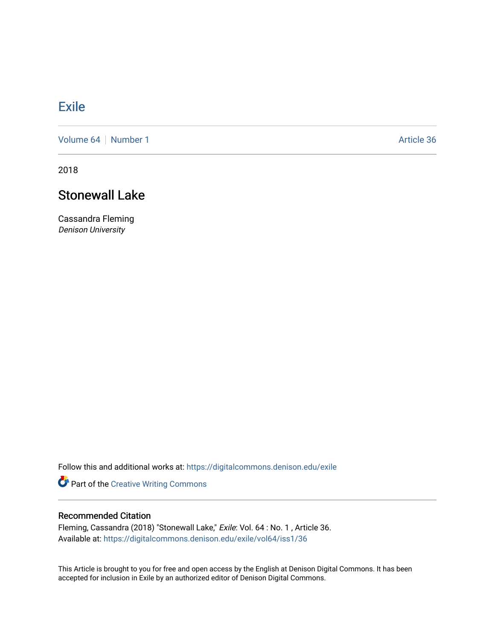## **[Exile](https://digitalcommons.denison.edu/exile)**

[Volume 64](https://digitalcommons.denison.edu/exile/vol64) [Number 1](https://digitalcommons.denison.edu/exile/vol64/iss1) Article 36

2018

## Stonewall Lake

Cassandra Fleming Denison University

Follow this and additional works at: [https://digitalcommons.denison.edu/exile](https://digitalcommons.denison.edu/exile?utm_source=digitalcommons.denison.edu%2Fexile%2Fvol64%2Fiss1%2F36&utm_medium=PDF&utm_campaign=PDFCoverPages) 

Part of the [Creative Writing Commons](http://network.bepress.com/hgg/discipline/574?utm_source=digitalcommons.denison.edu%2Fexile%2Fvol64%2Fiss1%2F36&utm_medium=PDF&utm_campaign=PDFCoverPages) 

## Recommended Citation

Fleming, Cassandra (2018) "Stonewall Lake," Exile: Vol. 64 : No. 1 , Article 36. Available at: [https://digitalcommons.denison.edu/exile/vol64/iss1/36](https://digitalcommons.denison.edu/exile/vol64/iss1/36?utm_source=digitalcommons.denison.edu%2Fexile%2Fvol64%2Fiss1%2F36&utm_medium=PDF&utm_campaign=PDFCoverPages)

This Article is brought to you for free and open access by the English at Denison Digital Commons. It has been accepted for inclusion in Exile by an authorized editor of Denison Digital Commons.